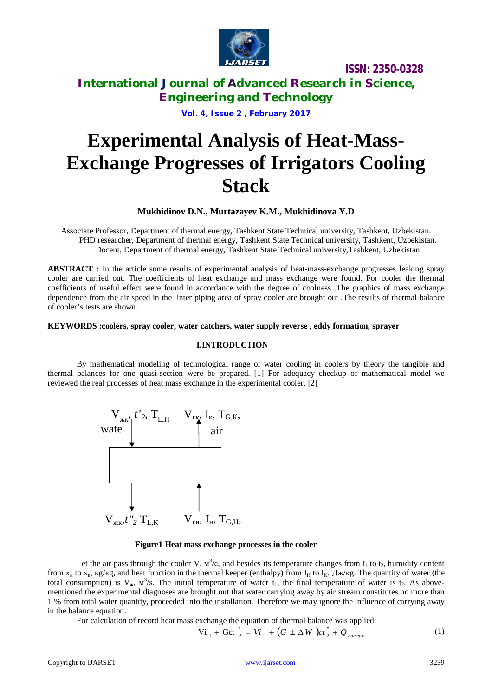

# **International Journal of Advanced Research in Science, Engineering and Technology**

**Vol. 4, Issue 2 , February 2017**

# **Experimental Analysis of Heat-Mass-Exchange Progresses of Irrigators Cooling Stack**

### **Mukhidinov D.N., Murtazayev K.M., Mukhidinova Y.D**

Associate Professor, Department of thermal energy, Tashkent State Technical university, Tashkent, Uzbekistan. PHD researcher, Department of thermal energy, Tashkent State Technical university, Tashkent, Uzbekistan. Docent, Department of thermal energy, Tashkent State Technical university,Tashkent, Uzbekistan

**ABSTRACT :** In the article some results of experimental analysis of heat-mass-exchange progresses leaking spray cooler are carried out. The coefficients of heat exchange and mass exchange were found. For cooler the thermal coefficients of useful effect were found in accordance with the degree of coolness .The graphics of mass exchange dependence from the air speed in the inter piping area of spray cooler are brought out .The results of thermal balance of cooler's tests are shown.

#### **KEYWORDS :coolers, spray cooler, water catchers, water supply reverse** , **eddy formation, sprayer**

### **I.INTRODUCTION**

By mathematical modeling of technological range of water cooling in coolers by theory the tangible and thermal balances for one quasi-section were be prepared. [1] For adequacy checkup of mathematical model we reviewed the real processes of heat mass exchange in the experimental cooler. [2]



#### **Figure1 Heat mass exchange processes in the cooler**

Let the air pass through the cooler V,  $M^3/c$ , and besides its temperature changes from  $t_1$  to  $t_2$ , humidity content from  $x_{\rm H}$  to  $x_{\rm K}$ ,  $\frac{\rm kg}{\rm kg}$ , and heat function in the thermal keeper (enthalpy) from  $I_{\rm H}$  to  $I_{\rm K}$ .  $\frac{\rm g}{\rm K}$  and  $I_{\rm K}$  is  $I_{\rm H}$ total consumption) is  $V_{\kappa}$ ,  $M^3/s$ . The initial temperature of water  $t_1$ , the final temperature of water is  $t_2$ . As abovementioned the experimental diagnoses are brought out that water carrying away by air stream constitutes no more than 1 % from total water quantity, proceeded into the installation. Therefore we may ignore the influence of carrying away in the balance equation.

For calculation of record heat mass exchange the equation of thermal balance was applied:

$$
\text{Vi}_{1} + \text{Gct}_{2} = \text{Vi}_{2} + (G \pm \Delta W) \text{ct}_{2}^{*} + Q_{\text{nonreps}} \tag{1}
$$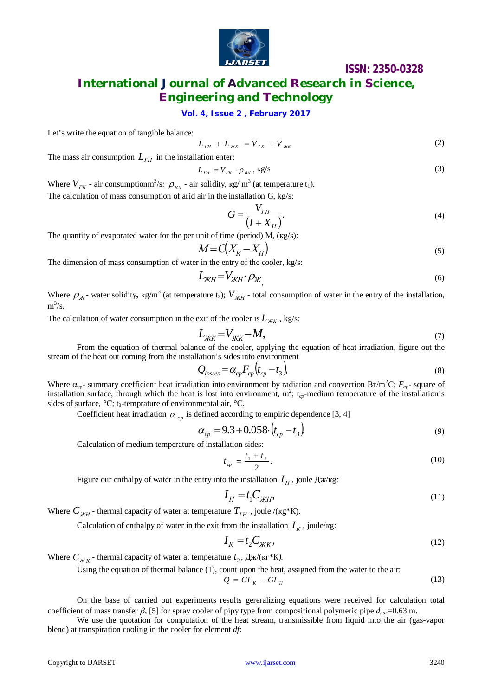

# **International Journal of Advanced Research in Science, Engineering and Technology**

### **Vol. 4, Issue 2 , February 2017**

Let's write the equation of tangible balance:

$$
L_{TH} + L_{XK} = V_{IK} + V_{XK}
$$
 (2)

The mass air consumption  $L$ <sup>*TH*</sup> in the installation enter:

$$
L_{IH} = V_{IK} \cdot \rho_{BI}, \text{kg/s}
$$
 (3)

Where  $V_{IK}$  - air consumptionm<sup>3</sup>/s:  $\rho_{BI}$  - air solidity,  $\kappa g/m^3$  (at temperature t<sub>1</sub>). The calculation of mass consumption of arid air in the installation G, kg/s:

$$
G = \frac{V_{TH}}{(I + X_H)}.\tag{4}
$$

The quantity of evaporated water for the per unit of time (period) М, (кg/s):

$$
M = C(X_K - X_H) \tag{5}
$$

The dimension of mass consumption of water in the entry of the cooler, kg/s:

$$
L_{KH} = V_{KH} \cdot \rho_{K} \tag{6}
$$

Where  $\rho_{\pi}$ - water solidity,  $\kappa g/m^3$  (at temperature t<sub>2</sub>);  $V_{\pi}$ -total consumption of water in the entry of the installation, m 3 /s*.*

The calculation of water consumption in the exit of the cooler is  $L_{\text{KK}}$  , kg/s:

$$
L_{KK} = V_{KK} - M,\tag{7}
$$

From the equation of thermal balance of the cooler, applying the equation of heat irradiation, figure out the stream of the heat out coming from the installation's sides into environment

$$
Q_{losses} = \alpha_{cp} F_{cp} (t_{cp} - t_3),
$$
\n(8)

Where  $\alpha_{cp}$ - summary coefficient heat irradiation into environment by radiation and convection B $\tau/m^2C$ ;  $F_{cp}$ - square of installation surface, through which the heat is lost into environment, m 2 ; t*cp-*medium temperature of the installation's sides of surface,  $\mathrm{C}$ ; t<sub>3</sub>-temprature of environmental air,  $\mathrm{C}$ .

Coefficient heat irradiation  $\alpha_{\text{cp}}$  is defined according to empiric dependence [3, 4]

$$
\alpha_{cp} = 9.3 + 0.058 \cdot \left(t_{cp} - t_3\right) \tag{9}
$$

Calculation of medium temperature of installation sides:

$$
t_{cp} = \frac{t_1 + t_2}{2}.\tag{10}
$$

Figure our enthalpy of water in the entry into the installation  $I_H$ , joule  $\text{I}\xspace_{\mathcal{H}}\times\text{K}\xspace_{\mathcal{S}}$ :

$$
I_H = t_1 C_{KH},\tag{11}
$$

Where  $C_{\kappa H}$  - thermal capacity of water at temperature  $T_{LH}$ , joule /( $\kappa g$ \*K).

Calculation of enthalpy of water in the exit from the installation  $I_K$ , joule/kg:

$$
I_K = t_2 C_{KK},\tag{12}
$$

Where  $C_{\kappa K}$  - thermal capacity of water at temperature  $t_2$ ,  $\text{Im}(kK)$ .

Using the equation of thermal balance (1), count upon the heat, assigned from the water to the air:

$$
Q = GI_K - GI_H \tag{13}
$$

On the base of carried out experiments results gereralizing equations were received for calculation total coefficient of mass transfer  $\beta_k$  [5] for spray cooler of pipy type from compositional polymeric pipe  $d_{\text{vac}}$ =0.63 m.

We use the quotation for computation of the heat stream, transmissible from liquid into the air (gas-vapor blend) at transpiration cooling in the cooler for element *df*: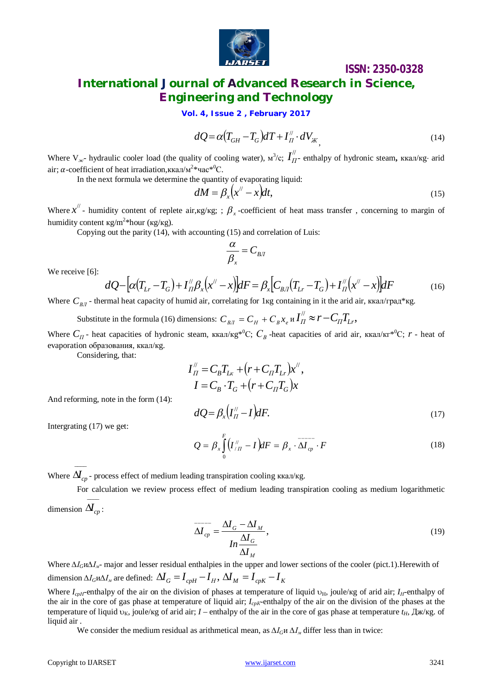

# **ISSN: 2350-0328 International Journal of Advanced Research in Science, Engineering and Technology**

**Vol. 4, Issue 2 , February 2017**

$$
dQ = \alpha (T_{GH} - T_G) dT + I''_H \cdot dV_{\mathcal{K}}, \tag{14}
$$

Where  $V_{\text{ac}}$ - hydraulic cooler load (the quality of cooling water),  $M^3/c$ ;  $I''_{II}$  $I_{II}^{\prime\prime}$  enthalpy of hydronic steam, ккал/кg· arid air;  $\alpha$ -coefficient of heat irradiation, ккал/м<sup>2\*</sup>час<sup>\*0</sup>С.

In the next formula we determine the quantity of evaporating liquid:

$$
dM = \beta_x \left( x'' - x \right) dt, \tag{15}
$$

Where  $x''$  - humidity content of replete air,  $x$ g/ $x$ g; ;  $\beta$ <sub>x</sub> -coefficient of heat mass transfer, concerning to margin of humidity content  $\kappa g/m^2 *$ hour ( $\kappa g/\kappa g$ ).

Copying out the parity (14), with accounting (15) and correlation of Luis:

$$
\frac{\alpha}{\beta_x} = C_{\text{B/I}}
$$

We receive [6]:

$$
dQ - [\alpha (T_{Lr} - T_G) + I''_{II} \beta_x (x'' - x)] dF = \beta_x [C_{B/I} (T_{Lr} - T_G) + I''_{II} (x'' - x)] dF
$$
(16)

Where  $C_{B/I}$  - thermal heat capacity of humid air, correlating for 1 кg containing in it the arid air, ккал/град\*кg.

Substitute in the formula (16) dimensions:  $C_{B/I} = C_H + C_B x_e$  и  $I''_I \approx r - C_I T_{Lr}$ ,

Where  $C_{\Pi}$  - heat capacities of hydronic steam, ккал/кg<sup>\*0</sup>C;  $C_{B}$  -heat capacities of arid air, ккал/кг<sup>\*0</sup>C;  $r$  - heat of evaporation образования, ккал/кg.

Considering, that:

$$
I''_H = C_B T_{Lx} + (r + C_H T_{Lr})x'',
$$
  
\n
$$
I = C_B \cdot T_G + (r + C_H T_G)x
$$
  
\n
$$
dQ = \beta_x (I''_H - I) dF.
$$
\n(17)

And reforming, note in the form (14):

$$
Q = \beta \int_{0}^{F} \left( I_{\ell, \pi}^{/\ell} - I \right) dF = \beta \cdot \overline{\mathcal{M}^{\ell}} \cdot F
$$

Intergrating (17) we get:

$$
Q = \beta_x \int_0^{\infty} (I_{/H}^{\#} - I) dF = \beta_x \cdot \Delta I_{cp} \cdot F
$$
 (18)

Where  $\Delta\!\!I_{cp}^{\phantom i}$  - process effect of medium leading transpiration cooling ккал/кg.

For calculation we review process effect of medium leading transpiration cooling as medium logarithmetic 

dimension  $\Delta I_{cp}$  :

$$
\overline{\Delta I_{cp}} = \frac{\Delta I_G - \Delta I_M}{In \frac{\Delta I_G}{\Delta I_M}},
$$
\n(19)

Where *∆IG*и*∆Iм*- major and lesser residual enthalpies in the upper and lower sections of the cooler (pict.1).Herewith of dimension  $\Delta I_G W \Delta I_M$  are defined:  $\Delta I_G = I_{c p H} - I_H$ ,  $\Delta I_M = I_{c p K} - I_K$ 

Where  $I_{\text{coH}}$ -enthalpy of the air on the division of phases at temperature of liquid  $v_H$ , joule/kg of arid air;  $I_H$ -enthalpy of the air in the core of gas phase at temperature of liquid air; *IcpК*-enthalpy of the air on the division of the phases at the temperature of liquid  $v_K$ , joule/kg of arid air; *I* – enthalpy of the air in the core of gas phase at temperature  $t_H$ ,  $\bar{L}$ <sub>*K*</sub> $\bar{K}$ g. of liquid air.

We consider the medium residual as arithmetical mean, as *∆IG*и *∆I<sup>м</sup>* differ less than in twice: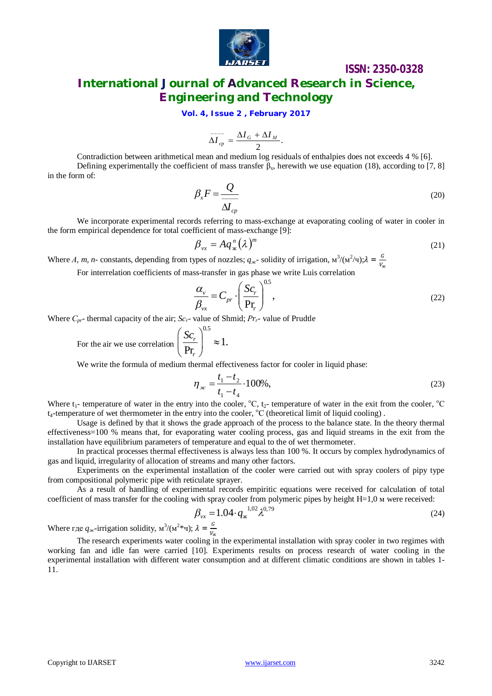

# **International Journal of Advanced Research in Science, Engineering and Technology**

**Vol. 4, Issue 2 , February 2017**

$$
\overline{\Delta I}_{cp} = \frac{\Delta I_G + \Delta I_M}{2}.
$$

Contradiction between arithmetical mean and medium log residuals of enthalpies does not exceeds 4 % [6]. Defining experimentally the coefficient of mass transfer  $\beta_x$ , herewith we use equation (18), according to [7, 8] in the form of:

$$
\beta_x F = \frac{Q}{\Delta l_{cp}}\tag{20}
$$

We incorporate experimental records referring to mass-exchange at evaporating cooling of water in cooler in the form empirical dependence for total coefficient of mass-exchange [9]:

$$
\beta_{vx} = A q_x^n (\lambda)^m \tag{21}
$$

Where *A*, *m*, *n*- constants, depending from types of nozzles;  $q_{\text{ac}}$  solidity of irrigation,  $M^3/(M^2/q)$ ;  $\lambda = \frac{G}{V}$ ж

For interrelation coefficients of mass-transfer in gas phase we write Luis correlation

$$
\frac{\alpha_{\nu}}{\beta_{vx}} = C_{pr} \cdot \left(\frac{Sc_r}{\text{Pr}_r}\right)^{0.5},\tag{22}
$$

Where *Сpr*- thermal capacity of the air; *Sсr*- value of Shmid; *Рrr*- value of Prudtle

For the air we use correlation 0.5 Pr *r r*  $(Sc_r)$  $\left| \frac{bc_r}{D_r} \right| \approx$  $(\Pr_r)$ 

We write the formula of medium thermal effectiveness factor for cooler in liquid phase:

1.

$$
\eta_{\infty} = \frac{t_1 - t_2}{t_1 - t_4} \cdot 100\%,\tag{23}
$$

Where  $t_1$ - temperature of water in the entry into the cooler,  ${}^0C$ ,  $t_2$ - temperature of water in the exit from the cooler,  ${}^0C$ t<sub>4</sub>-temperature of wet thermometer in the entry into the cooler, <sup>o</sup>C (theoretical limit of liquid cooling).

Usage is defined by that it shows the grade approach of the process to the balance state. In the theory thermal effectiveness=100 % means that, for evaporating water cooling process, gas and liquid streams in the exit from the installation have equilibrium parameters of temperature and equal to the of wet thermometer.

In practical processes thermal effectiveness is always less than 100 %. It occurs by complex hydrodynamics of gas and liquid, irregularity of allocation of streams and many other factors.

Experiments on the experimental installation of the cooler were carried out with spray coolers of pipy type from compositional polymeric pipe with reticulate sprayer.

As a result of handling of experimental records empiritic equations were received for calculation of total coefficient of mass transfer for the cooling with spray cooler from polymeric pipes by height Н=1,0 м were received:

$$
\beta_{vx} = 1.04 \cdot q_{x}^{1.02} \lambda^{0.79} \tag{24}
$$

Where где  $q_{\text{ac}}$ -irrigation solidity,  $\mathbf{M}^3/(\mathbf{M}^2*\mathbf{q})$ ;  $\lambda = \frac{G}{V}$ ж

The research experiments water cooling in the experimental installation with spray cooler in two regimes with working fan and idle fan were carried [10]. Experiments results on process research of water cooling in the experimental installation with different water consumption and at different climatic conditions are shown in tables 1- 11.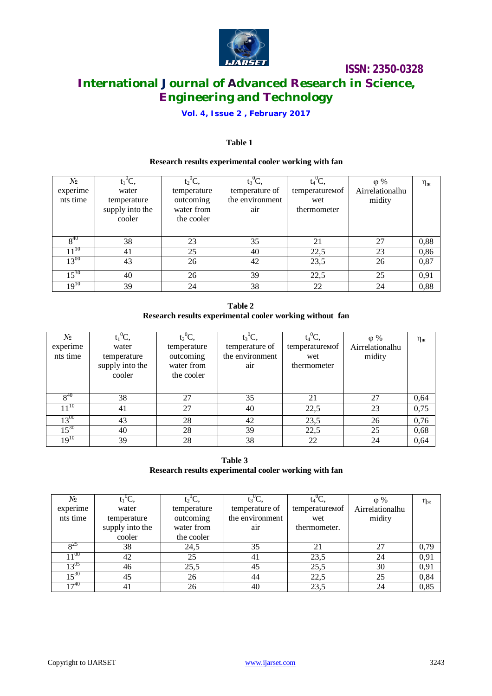

# **International Journal of Advanced Research in Science, Engineering and Technology**

### **Vol. 4, Issue 2 , February 2017**

### **Table 1**

### **Research results experimental cooler working with fan**

| N <sub>2</sub><br>experime<br>nts time | $t_1^0C$<br>water<br>temperature<br>supply into the<br>cooler | $t_2^0C$ ,<br>temperature<br>outcoming<br>water from<br>the cooler | $t_3^0C$<br>temperature of<br>the environment<br>air | $t_4^0C$<br>temperaturemof<br>wet<br>thermometer | $\varphi$ %<br>Airrelationalhu<br>midity | $\eta_{\scriptscriptstyle\rm{X}}$ |
|----------------------------------------|---------------------------------------------------------------|--------------------------------------------------------------------|------------------------------------------------------|--------------------------------------------------|------------------------------------------|-----------------------------------|
| $8^{40}$                               | 38                                                            | 23                                                                 | 35                                                   | 21                                               | 27                                       | 0,88                              |
| $11^{10}$                              | 41                                                            | 25                                                                 | 40                                                   | 22,5                                             | 23                                       | 0,86                              |
| $13^{00}$                              | 43                                                            | 26                                                                 | 42                                                   | 23,5                                             | 26                                       | 0,87                              |
| $15^{30}$                              | 40                                                            | 26                                                                 | 39                                                   | 22,5                                             | 25                                       | 0,91                              |
| $19^{10}$                              | 39                                                            | 24                                                                 | 38                                                   | 22                                               | 24                                       | 0,88                              |

**Table 2 Research results experimental cooler working without fan**

| $N_2$     | $t_1^0C$        | $t_2^0C$    | $t_3^0C$        | $t_4^0C$                   | $\varphi$ %     | $\eta_{\scriptscriptstyle{X}}$ |
|-----------|-----------------|-------------|-----------------|----------------------------|-----------------|--------------------------------|
| experime  | water           | temperature | temperature of  | temperature <sub>Mof</sub> | Airrelationalhu |                                |
| nts time  | temperature     | outcoming   | the environment | wet                        | midity          |                                |
|           | supply into the | water from  | air             | thermometer                |                 |                                |
|           | cooler          | the cooler  |                 |                            |                 |                                |
|           |                 |             |                 |                            |                 |                                |
| $8^{40}$  | 38              | 27          | 35              | 21                         | 27              | 0,64                           |
| $11^{10}$ | 41              | 27          | 40              | 22,5                       | 23              | 0,75                           |
| $13^{00}$ | 43              | 28          | 42              | 23,5                       | 26              | 0,76                           |
| $15^{30}$ | 40              | 28          | 39              | 22,5                       | 25              | 0,68                           |
| $19^{10}$ | 39              | 28          | 38              | 22                         | 24              | 0,64                           |

**Table 3 Research results experimental cooler working with fan**

| N <sub>2</sub>  | $t_1^0C$ ,      | $t_2^0C$ ,  | $t_3^0C$        |                | $\omega$ %      | $\eta_{\scriptscriptstyle \sf X}$ |
|-----------------|-----------------|-------------|-----------------|----------------|-----------------|-----------------------------------|
| experime        | water           | temperature | temperature of  | temperaturemof | Airrelationalhu |                                   |
| nts time        | temperature     | outcoming   | the environment | wet            | midity          |                                   |
|                 | supply into the | water from  | air             | thermometer.   |                 |                                   |
|                 | cooler          | the cooler  |                 |                |                 |                                   |
| $_{\rm o^{25}}$ | 38              | 24,5        | 35              |                | 27              | 0,79                              |
| $11^{00}$       | 42              | 25          | 41              | 23,5           | 24              | 0,91                              |
| $13^{05}$       | 46              | 25,5        | 45              | 25,5           | 30              | 0,91                              |
| $15^{30}$       | 45              | 26          | 44              | 22.5           | 25              | 0,84                              |
| $17^{40}$       | 41              | 26          | 40              | 23,5           | 24              | 0,85                              |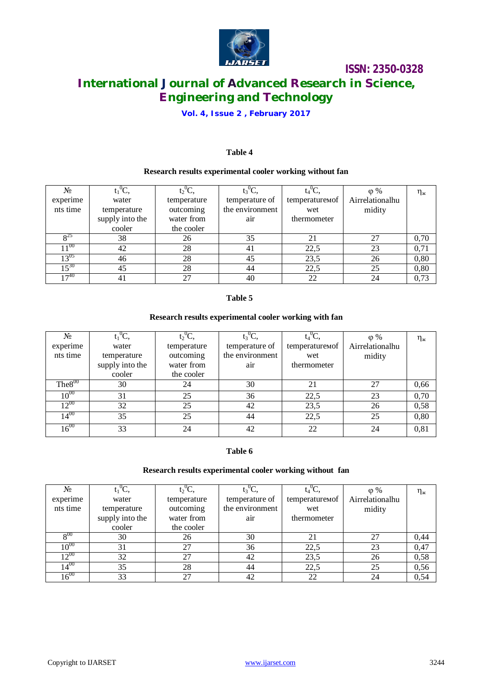

# **International Journal of Advanced Research in Science, Engineering and Technology**

### **Vol. 4, Issue 2 , February 2017**

### **Table 4**

#### **Research results experimental cooler working without fan**

| No.             | $t_1^0C$        | $t2^0C$     | $t_3$ <sup>O</sup> C. |                            | $\varphi$ %     | $\eta_{\scriptscriptstyle\rm{X}}$ |
|-----------------|-----------------|-------------|-----------------------|----------------------------|-----------------|-----------------------------------|
| experime        | water           | temperature | temperature of        | temperature <sub>Mof</sub> | Airrelationalhu |                                   |
| nts time        | temperature     | outcoming   | the environment       | wet                        | midity          |                                   |
|                 | supply into the | water from  | air                   | thermometer                |                 |                                   |
|                 | cooler          | the cooler  |                       |                            |                 |                                   |
| o <sup>25</sup> | 38              | 26          | 35                    | 21                         | 27              | 0,70                              |
| $1^{00}$        | 42              | 28          | 41                    | 22,5                       | 23              | 0,71                              |
| $13^{05}$       | 46              | 28          | 45                    | 23,5                       | 26              | 0,80                              |
| $15^{30}$       | 45              | 28          | 44                    | 22,5                       | 25              | 0,80                              |
| $+7^{40}$       |                 | 27          | 40                    | 22                         |                 | 0,73                              |

#### **Table 5**

### **Research results experimental cooler working with fan**

| No           | $t_1^0C$        | $t_2^0C$    | $t_3^0C$        | $t_4^0C$       | $\varphi$ %     | $\eta_{\scriptscriptstyle{X}}$ |
|--------------|-----------------|-------------|-----------------|----------------|-----------------|--------------------------------|
| experime     | water           | temperature | temperature of  | temperaturemof | Airrelationalhu |                                |
| nts time     | temperature     | outcoming   | the environment | wet            | midity          |                                |
|              | supply into the | water from  | air             | thermometer    |                 |                                |
|              | cooler          | the cooler  |                 |                |                 |                                |
| $The 8^{00}$ | 30              | 24          | 30              | 21             | 27              | 0,66                           |
| $10^{00}$    | 31              | 25          | 36              | 22,5           | 23              | 0,70                           |
| $12^{00}$    | 32              | 25          | 42              | 23,5           | 26              | 0,58                           |
| $14^{00}$    | 35              | 25          | 44              | 22,5           | 25              | 0,80                           |
| $16^{00}$    | 33              | 24          | 42              | 22             | 24              | 0,81                           |

### **Table 6**

### **Research results experimental cooler working without fan**

| Nº.       | $t_1^0C$        | $t_2^0C$    | $t_3^0C$        | $t_4^0C$          | $\varphi$ %     | $\eta_{\scriptscriptstyle{X}}$ |
|-----------|-----------------|-------------|-----------------|-------------------|-----------------|--------------------------------|
| experime  | water           | temperature | temperature of  | temperature Monde | Airrelationalhu |                                |
| nts time  | temperature     | outcoming   | the environment | wet               | midity          |                                |
|           | supply into the | water from  | air             | thermometer       |                 |                                |
|           | cooler          | the cooler  |                 |                   |                 |                                |
| $8^{00}$  | 30              | 26          | 30              |                   |                 | 0,44                           |
| $10^{00}$ | 31              | 27          | 36              | 22,5              | 23              | 0,47                           |
| $12^{00}$ | 32              | 27          | 42              | 23,5              | 26              | 0,58                           |
| $14^{00}$ | 35              | 28          | 44              | 22,5              | 25              | 0,56                           |
| $16^{00}$ | 33              | 27          | 42              | 22                | 24              | 0,54                           |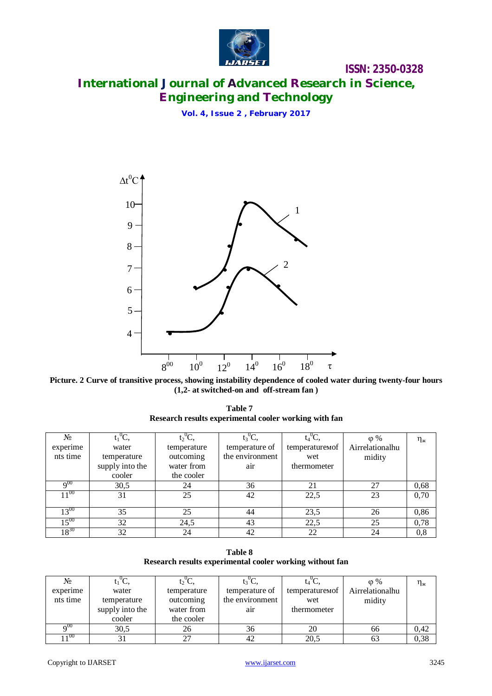

# **International Journal of Advanced Research in Science, Engineering and Technology**

**Vol. 4, Issue 2 , February 2017**



Picture. 2 Curve of transitive process, showing instability dependence of cooled water during twenty-four hours **(1,2- at switched-on and off-stream fan )**

**Table 7 Research results experimental cooler working with fan**

| No.               | $t_1^0C$        | $t2^0C$     | $t_3^0C$        | $t_4^0C$       | $\varphi$ %     | $\eta_{\scriptscriptstyle{X}}$ |
|-------------------|-----------------|-------------|-----------------|----------------|-----------------|--------------------------------|
| experime          | water           | temperature | temperature of  | temperaturemof | Airrelationalhu |                                |
| nts time          | temperature     | outcoming   | the environment | wet            | midity          |                                |
|                   | supply into the | water from  | air             | thermometer    |                 |                                |
|                   | cooler          | the cooler  |                 |                |                 |                                |
| $\mathbf{Q}^{00}$ | 30,5            | 24          | 36              | 21             | 27              | 0,68                           |
| $11^{00}$         | 31              | 25          | 42              | 22,5           | 23              | 0,70                           |
|                   |                 |             |                 |                |                 |                                |
| $13^{00}$         | 35              | 25          | 44              | 23,5           | 26              | 0,86                           |
| $15^{00}$         | 32              | 24,5        | 43              | 22,5           | 25              | 0,78                           |
| $18^{30}$         | 32              | 24          | 42              | 22             | 24              | 0,8                            |

**Table 8 Research results experimental cooler working without fan**

| No              |                 | 12 C.       |                 |                            | $\varphi$ %     | $\eta_{\scriptscriptstyle\rm{X}}$ |
|-----------------|-----------------|-------------|-----------------|----------------------------|-----------------|-----------------------------------|
| experime        | water           | temperature | temperature of  | temperature <sub>Mof</sub> | Airrelationalhu |                                   |
| nts time        | temperature     | outcoming   | the environment | wet                        | midity          |                                   |
|                 | supply into the | water from  | air             | thermometer                |                 |                                   |
|                 | cooler          | the cooler  |                 |                            |                 |                                   |
| 00 <sub>0</sub> | 30,5            | 26          | 36              | 20                         | 66              | 0,42                              |
| 100             |                 | רר          |                 | 20,5                       | 03              | 0,38                              |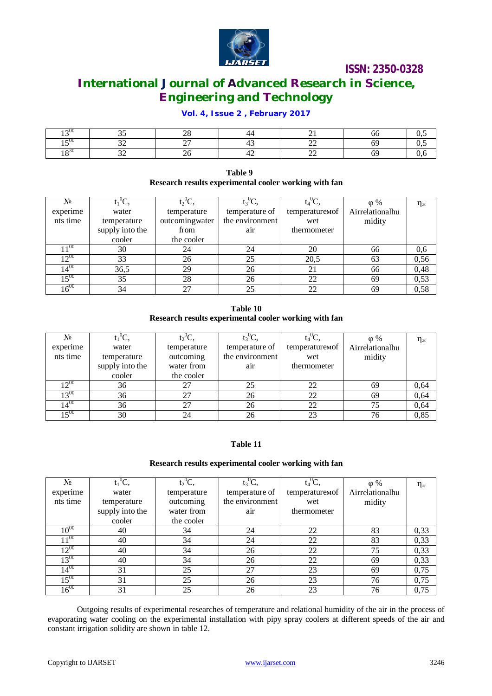

# **International Journal of Advanced Research in Science, Engineering and Technology**

### **Vol. 4, Issue 2 , February 2017**

| 77<br>$\sim 00$      | ~ - | $\sim$ $\sim$<br>⊷       |        |                          |     |
|----------------------|-----|--------------------------|--------|--------------------------|-----|
| $-00$                | - - | $\sim$ $\sim$            |        | --                       |     |
| ം 30<br>. <u>. .</u> | --  | $\overline{\phantom{0}}$ | $\sim$ | $\overline{\phantom{a}}$ | . J |

#### **Table 9 Research results experimental cooler working with fan**

| $N_2$     | $t_1^0C$        | $t_2^0C$       | $t_3^0C$        | $\mathfrak{t}_4^0\mathrm{C}$ | $\varphi$ %     | $\eta_{\scriptscriptstyle\mathcal{K}}$ |
|-----------|-----------------|----------------|-----------------|------------------------------|-----------------|----------------------------------------|
| experime  | water           | temperature    | temperature of  | temperaturemof               | Airrelationalhu |                                        |
| nts time  | temperature     | outcomingwater | the environment | wet                          | midity          |                                        |
|           | supply into the | from           | air             | thermometer                  |                 |                                        |
|           | cooler          | the cooler     |                 |                              |                 |                                        |
| $1^{00}$  | 30              | 24             | 24              | 20                           | 66              | 0,6                                    |
| $12^{00}$ | 33              | 26             | 25              | 20,5                         | 63              | 0,56                                   |
| $14^{00}$ | 36,5            | 29             | 26              | 21                           | 66              | 0,48                                   |
| $15^{00}$ | 35              | 28             | 26              | 22                           | 69              | 0,53                                   |
| $16^{00}$ | 34              | 27             | 25              | 22                           | 69              | 0,58                                   |

**Table 10 Research results experimental cooler working with fan**

| No              | $t_1^0C$        | $t_2^0C$    | $t_3$ <sup>0</sup> C. |                            | $\varphi$ %     | $\eta_{\scriptscriptstyle \cal K}$ |
|-----------------|-----------------|-------------|-----------------------|----------------------------|-----------------|------------------------------------|
| experime        | water           | temperature | temperature of        | temperature <sub>Mof</sub> | Airrelationalhu |                                    |
| nts time        | temperature     | outcoming   | the environment       | wet                        | midity          |                                    |
|                 | supply into the | water from  | air                   | thermometer                |                 |                                    |
|                 | cooler          | the cooler  |                       |                            |                 |                                    |
| $2^{00}$        | 36              | 27          | 25                    | 22                         | 69              | 0,64                               |
| $13^{00}$       | 36              | 27          | 26                    | 22                         | 69              | 0,64                               |
| $\sqrt{4^{00}}$ | 36              | 27          | 26                    | 22                         | 75              | 0,64                               |
| $5^{00}$        | 30              | 24          | 26                    | 23                         | 76              | 0,85                               |

### **Table 11**

#### **Research results experimental cooler working with fan**

| No        | $t_1^0C$ ,      | $t_2^0C$    | $t_3^0C$        | $t_4^0C,$      | $\varphi$ %     | $\eta_{\scriptscriptstyle \sf X}$ |
|-----------|-----------------|-------------|-----------------|----------------|-----------------|-----------------------------------|
| experime  | water           | temperature | temperature of  | temperaturemof | Airrelationalhu |                                   |
| nts time  | temperature     | outcoming   | the environment | wet            | midity          |                                   |
|           | supply into the | water from  | air             | thermometer    |                 |                                   |
|           | cooler          | the cooler  |                 |                |                 |                                   |
| $10^{00}$ | 40              | 34          | 24              | 22             | 83              | 0,33                              |
| $11^{00}$ | 40              | 34          | 24              | 22             | 83              | 0,33                              |
| $12^{00}$ | 40              | 34          | 26              | 22             | 75              | 0,33                              |
| $13^{00}$ | 40              | 34          | 26              | 22             | 69              | 0,33                              |
| $14^{00}$ | 31              | 25          | 27              | 23             | 69              | 0,75                              |
| $15^{00}$ | 31              | 25          | 26              | 23             | 76              | 0,75                              |
| $16^{00}$ | 31              | 25          | 26              | 23             | 76              | 0,75                              |

Outgoing results of experimental researches of temperature and relational humidity of the air in the process of evaporating water cooling on the experimental installation with pipy spray coolers at different speeds of the air and constant irrigation solidity are shown in table 12.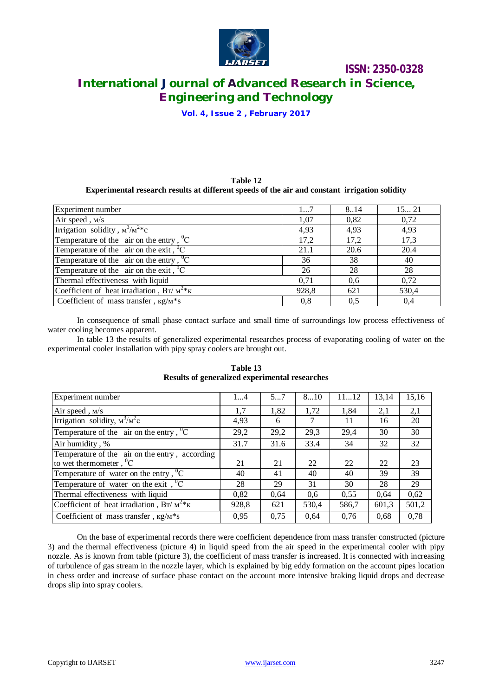

# **International Journal of Advanced Research in Science, Engineering and Technology**

**Vol. 4, Issue 2 , February 2017**

#### **Table 12 Experimental research results at different speeds of the air and constant irrigation solidity**

| Experiment number                                       | 17    | 8.14 | 15 21 |
|---------------------------------------------------------|-------|------|-------|
| Air speed, M/s                                          | 1.07  | 0,82 | 0,72  |
| Irrigation solidity, $M^3/M^2$ <sup>*</sup> c           | 4,93  | 4,93 | 4,93  |
| Temperature of the air on the entry, ${}^{0}C$          | 17,2  | 17,2 | 17,3  |
| Temperature of the air on the exit, ${}^{0}C$           | 21.1  | 20.6 | 20.4  |
| Temperature of the air on the entry, ${}^{0}C$          | 36    | 38   | 40    |
| Temperature of the air on the exit, ${}^{0}C$           | 26    | 28   | 28    |
| Thermal effectiveness with liquid                       | 0,71  | 0,6  | 0,72  |
| Coefficient of heat irradiation, $Br/M^{2*}K$           | 928,8 | 621  | 530,4 |
| Coefficient of mass transfer, $\kappa g/M \hat{\ast} s$ | 0,8   | 0,5  | 0,4   |

In consequence of small phase contact surface and small time of surroundings low process effectiveness of water cooling becomes apparent.

In table 13 the results of generalized experimental researches process of evaporating cooling of water on the experimental cooler installation with pipy spray coolers are brought out.

| Experiment number                              | 14    | 57   | 810   | 1112  | 13,14 | 15,16 |
|------------------------------------------------|-------|------|-------|-------|-------|-------|
| Air speed, M/s                                 | 1,7   | 1,82 | 1,72  | 1,84  | 2,1   | 2,1   |
| Irrigation solidity, $M^3/M^2c$                | 4,93  | 6    |       | 11    | 16    | 20    |
| Temperature of the air on the entry, ${}^{0}C$ | 29,2  | 29,2 | 29,3  | 29,4  | 30    | 30    |
| Air humidity, %                                | 31.7  | 31.6 | 33.4  | 34    | 32    | 32    |
| Temperature of the air on the entry, according |       |      |       |       |       |       |
| to wet thermometer, $^0C$                      | 21    | 21   | 22    | 22    | 22    | 23    |
| Temperature of water on the entry, ${}^{0}C$   | 40    | 41   | 40    | 40    | 39    | 39    |
| Temperature of water on the exit, ${}^{0}C$    | 28    | 29   | 31    | 30    | 28    | 29    |
| Thermal effectiveness with liquid              | 0,82  | 0.64 | 0.6   | 0.55  | 0.64  | 0,62  |
| Coefficient of heat irradiation, $Br/M^{2*}K$  | 928,8 | 621  | 530,4 | 586,7 | 601,3 | 501,2 |
| Coefficient of mass transfer, $\kappa g/M^*s$  | 0.95  | 0,75 | 0.64  | 0,76  | 0,68  | 0,78  |

### **Table 13 Results of generalized experimental researches**

On the base of experimental records there were coefficient dependence from mass transfer constructed (picture 3) and the thermal effectiveness (picture 4) in liquid speed from the air speed in the experimental cooler with pipy nozzle. As is known from table (picture 3), the coefficient of mass transfer is increased. It is connected with increasing of turbulence of gas stream in the nozzle layer, which is explained by big eddy formation on the account pipes location in chess order and increase of surface phase contact on the account more intensive braking liquid drops and decrease drops slip into spray coolers.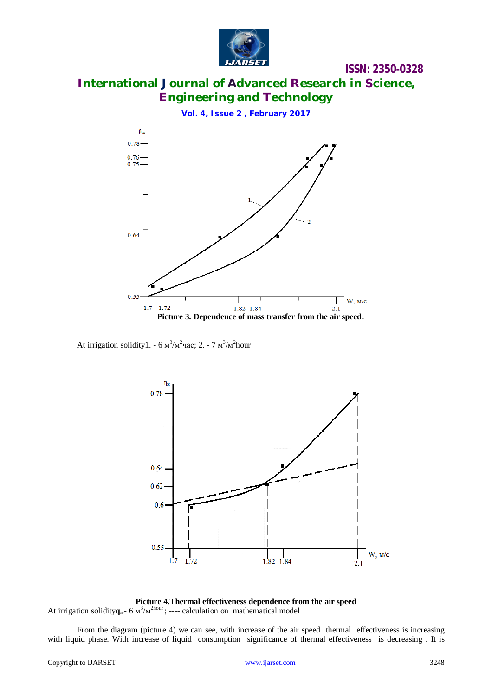

# **International Journal of Advanced Research in Science, Engineering and Technology**

**Vol. 4, Issue 2 , February 2017**

 $\beta_{\rm v}$  $0.78$  $0.76$ 0.75 0.64  $0.55$ W, M/c 1.72 1.82 1.84  $1.7$  $2.1$ **Picture 3. Dependence of mass transfer from the air speed:**

At irrigation solidity1.  $-6 \text{ m}^3/\text{m}^2$ час; 2.  $-7 \text{ m}^3/\text{m}^2$ hour



**Picture 4.Thermal effectiveness dependence from the air speed** At irrigation solidity $q_{\mathbf{x}}$ - 6  $M^3/M^{2\text{hour}}$ ; ---- calculation on mathematical model

From the diagram (picture 4) we can see, with increase of the air speed thermal effectiveness is increasing with liquid phase. With increase of liquid consumption significance of thermal effectiveness is decreasing. It is